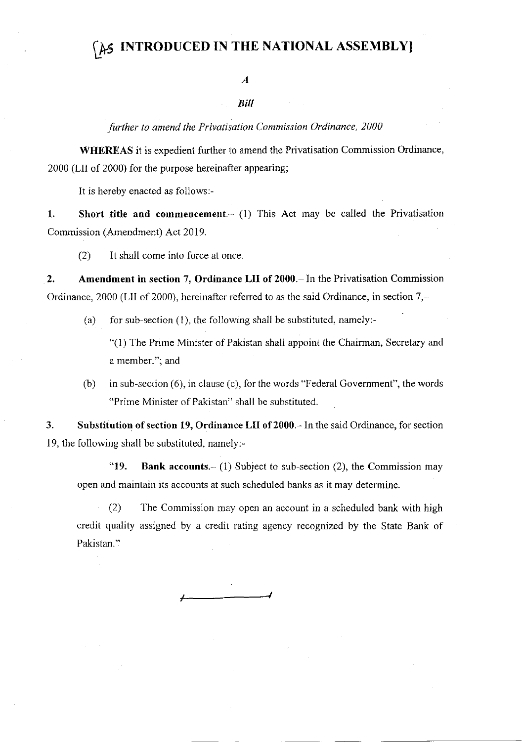## **LS INTRODUCED IN THE NATIONAL ASSEMBLY**

## A

## **Bill**

further to amend the Privatisation Commission Ordinance, 2000

WHEREAS it is expedient further to amend the Privatisation Commission Ordinance, 2000 (LII of 2000) for the purpose hereinafter appearing;

It is hereby enacted as follows:-

1. Short title and commencement. $-$  (1) This Act may be called the Privatisation Commission (Amendment) Act 2019.

(2) It shall come into force at once.

2. Amendment in section 7, Ordinance LII of 2000. - In the Privatisation Commission Ordinance, 2000 (LII of 2000), hereinafter referred to as the said Ordinance, in section  $7, -$ 

(a) for sub-section (1), the following shall be substituted, namely:-

"(1) The Prime Minjster of Pakistan shall appoint the Chairman, Secretary and a member."; and

(b) in sub-section (6), in clause (c), for the words "Federal Government", the words "Prime Minister of Pakistan" shall be substituted.

3. Substitution of section 19, Ordinance LII of 2000.- In the said Ordinance, for section 19, the following shall be substituted, namely:-

"19. Bank accounts.- (1) Subject to sub-section  $(2)$ , the Commission may open and maintain its accounts at such scheduled banks as it may determine.

(2) The Commission may open an account in a scheduled bank with high credit quality assigned by a credit rating agency recognized by the State Bank of Pakistan."